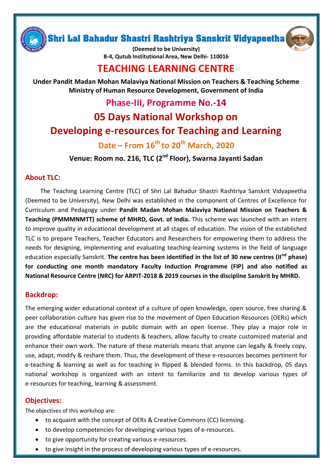Shri Lal Bahadur Shastri Rashtriya Sanskrit Vidyapeetha



**(Deemed to be University) B-4, Qutub Institutional Area, New Delhi- 110016**

## **TEACHING LEARNING CENTRE**

**Under Pandit Madan Mohan Malaviya National Mission on Teachers & Teaching Scheme Ministry of Human Resource Development, Government of India**

## **Phase-III, Programme No.-14**

# **05 Days National Workshop on Developing e-resources for Teaching and Learning**

## **Date – From 16th to 20 th March, 2020**

**Venue: Room no. 216, TLC (2nd Floor), Swarna Jayanti Sadan**

## **About TLC:**

The Teaching Learning Centre (TLC) of Shri Lal Bahadur Shastri Rashtriya Sanskrit Vidyapeetha (Deemed to be University), New Delhi was established in the component of Centres of Excellence for Curriculum and Pedagogy under **Pandit Madan Mohan Malaviya National Mission on Teachers & Teaching (PMMMNMTT) scheme of MHRD, Govt. of India.** This scheme was launched with an intent to improve quality in educational development at all stages of education. The vision of the established TLC is to prepare Teachers, Teacher Educators and Researchers for empowering them to address the needs for designing, implementing and evaluating teaching-learning systems in the field of language education especially Sanskrit. **The centre has been identified in the list of 30 new centres (IInd phase) for conducting one month mandatory Faculty Induction Programme (FIP) and also notified as National Resource Centre (NRC) for ARPIT-2018 & 2019 courses in the discipline Sanskrit by MHRD.**

### **Backdrop:**

The emerging wider educational context of a culture of open knowledge, open source, free sharing & peer collaboration culture has given rise to the movement of Open Education Resources (OERs) which are the educational materials in public domain with an open license. They play a major role in providing affordable material to students & teachers, allow faculty to create customized material and enhance their own work. The nature of these materials means that anyone can legally & freely copy, use, adapt, modify & reshare them. Thus, the development of these e-resources becomes pertinent for e-teaching & learning as well as for teaching in flipped & blended forms. In this backdrop, 05 days national workshop is organized with an intent to familiarize and to develop various types of e-resources for teaching, learning & assessment.

### **Objectives:**

The objectives of this workshop are:

- to acquaint with the concept of OERs & Creative Commons (CC) licensing.
- to develop competencies for developing various types of e-resources.
- to give opportunity for creating various e-resources.
- to give insight in the process of developing various types of e-resources.